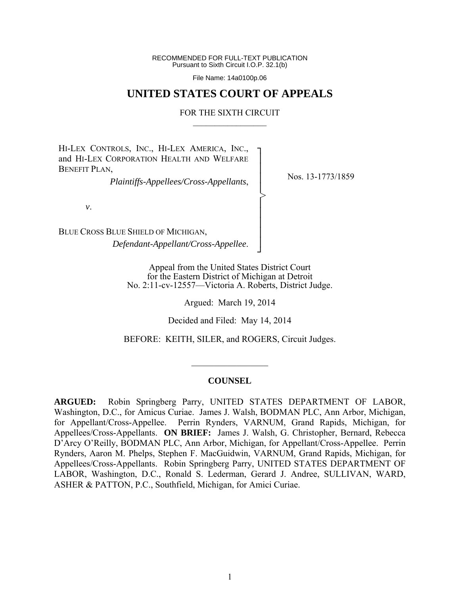RECOMMENDED FOR FULL-TEXT PUBLICATION Pursuant to Sixth Circuit I.O.P. 32.1(b)

File Name: 14a0100p.06

# **UNITED STATES COURT OF APPEALS**

### FOR THE SIXTH CIRCUIT  $\mathcal{L}_\text{max}$

┐ │ │ │ │ │ │ │ │ │ ┘

>

HI-LEX CONTROLS, INC., HI-LEX AMERICA, INC., and HI-LEX CORPORATION HEALTH AND WELFARE BENEFIT PLAN.

*Plaintiffs-Appellees/Cross-Appellants*,

Nos. 13-1773/1859

*v*.

BLUE CROSS BLUE SHIELD OF MICHIGAN, *Defendant-Appellant/Cross-Appellee*.

> Appeal from the United States District Court for the Eastern District of Michigan at Detroit No. 2:11-cv-12557—Victoria A. Roberts, District Judge.

> > Argued: March 19, 2014

Decided and Filed: May 14, 2014

BEFORE: KEITH, SILER, and ROGERS, Circuit Judges.

### **COUNSEL**

 $\frac{1}{2}$  ,  $\frac{1}{2}$  ,  $\frac{1}{2}$  ,  $\frac{1}{2}$  ,  $\frac{1}{2}$  ,  $\frac{1}{2}$  ,  $\frac{1}{2}$  ,  $\frac{1}{2}$  ,  $\frac{1}{2}$ 

**ARGUED:** Robin Springberg Parry, UNITED STATES DEPARTMENT OF LABOR, Washington, D.C., for Amicus Curiae. James J. Walsh, BODMAN PLC, Ann Arbor, Michigan, for Appellant/Cross-Appellee. Perrin Rynders, VARNUM, Grand Rapids, Michigan, for Appellees/Cross-Appellants. **ON BRIEF:** James J. Walsh, G. Christopher, Bernard, Rebecca D'Arcy O'Reilly, BODMAN PLC, Ann Arbor, Michigan, for Appellant/Cross-Appellee. Perrin Rynders, Aaron M. Phelps, Stephen F. MacGuidwin, VARNUM, Grand Rapids, Michigan, for Appellees/Cross-Appellants. Robin Springberg Parry, UNITED STATES DEPARTMENT OF LABOR, Washington, D.C., Ronald S. Lederman, Gerard J. Andree, SULLIVAN, WARD, ASHER & PATTON, P.C., Southfield, Michigan, for Amici Curiae.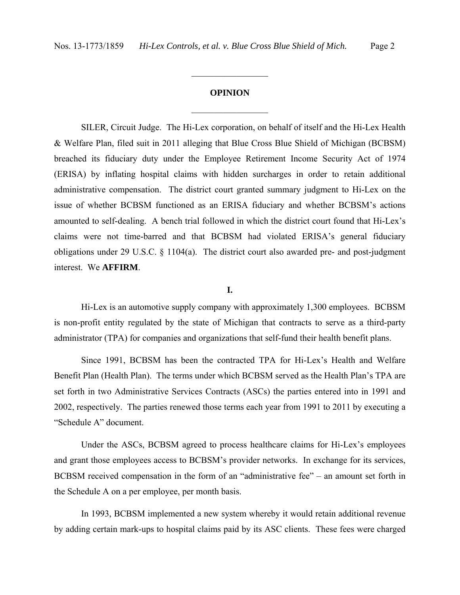# **OPINION**

 $\frac{1}{2}$ 

 $\frac{1}{2}$ 

SILER, Circuit Judge. The Hi-Lex corporation, on behalf of itself and the Hi-Lex Health & Welfare Plan, filed suit in 2011 alleging that Blue Cross Blue Shield of Michigan (BCBSM) breached its fiduciary duty under the Employee Retirement Income Security Act of 1974 (ERISA) by inflating hospital claims with hidden surcharges in order to retain additional administrative compensation. The district court granted summary judgment to Hi-Lex on the issue of whether BCBSM functioned as an ERISA fiduciary and whether BCBSM's actions amounted to self-dealing. A bench trial followed in which the district court found that Hi-Lex's claims were not time-barred and that BCBSM had violated ERISA's general fiduciary obligations under 29 U.S.C. § 1104(a). The district court also awarded pre- and post-judgment interest. We **AFFIRM**.

# **I.**

 Hi-Lex is an automotive supply company with approximately 1,300 employees. BCBSM is non-profit entity regulated by the state of Michigan that contracts to serve as a third-party administrator (TPA) for companies and organizations that self-fund their health benefit plans.

Since 1991, BCBSM has been the contracted TPA for Hi-Lex's Health and Welfare Benefit Plan (Health Plan). The terms under which BCBSM served as the Health Plan's TPA are set forth in two Administrative Services Contracts (ASCs) the parties entered into in 1991 and 2002, respectively. The parties renewed those terms each year from 1991 to 2011 by executing a "Schedule A" document.

Under the ASCs, BCBSM agreed to process healthcare claims for Hi-Lex's employees and grant those employees access to BCBSM's provider networks. In exchange for its services, BCBSM received compensation in the form of an "administrative fee" – an amount set forth in the Schedule A on a per employee, per month basis.

 In 1993, BCBSM implemented a new system whereby it would retain additional revenue by adding certain mark-ups to hospital claims paid by its ASC clients. These fees were charged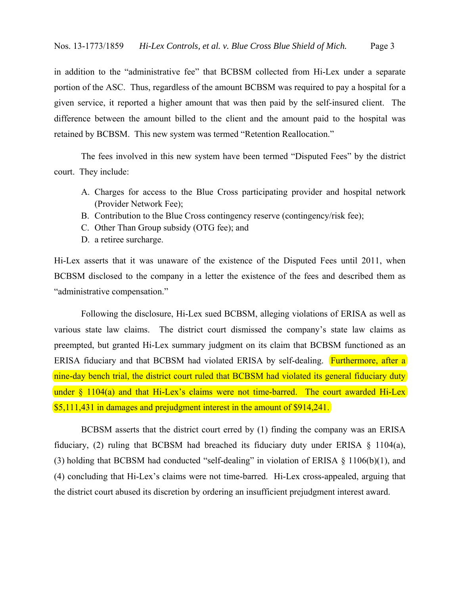in addition to the "administrative fee" that BCBSM collected from Hi-Lex under a separate portion of the ASC. Thus, regardless of the amount BCBSM was required to pay a hospital for a given service, it reported a higher amount that was then paid by the self-insured client. The difference between the amount billed to the client and the amount paid to the hospital was retained by BCBSM. This new system was termed "Retention Reallocation."

 The fees involved in this new system have been termed "Disputed Fees" by the district court. They include:

- A. Charges for access to the Blue Cross participating provider and hospital network (Provider Network Fee);
- B. Contribution to the Blue Cross contingency reserve (contingency/risk fee);
- C. Other Than Group subsidy (OTG fee); and
- D. a retiree surcharge.

Hi-Lex asserts that it was unaware of the existence of the Disputed Fees until 2011, when BCBSM disclosed to the company in a letter the existence of the fees and described them as "administrative compensation."

 Following the disclosure, Hi-Lex sued BCBSM, alleging violations of ERISA as well as various state law claims. The district court dismissed the company's state law claims as preempted, but granted Hi-Lex summary judgment on its claim that BCBSM functioned as an ERISA fiduciary and that BCBSM had violated ERISA by self-dealing. **Furthermore, after a** nine-day bench trial, the district court ruled that BCBSM had violated its general fiduciary duty under  $\frac{104(a)}{a}$  and that Hi-Lex's claims were not time-barred. The court awarded Hi-Lex \$5,111,431 in damages and prejudgment interest in the amount of \$914,241.

BCBSM asserts that the district court erred by (1) finding the company was an ERISA fiduciary, (2) ruling that BCBSM had breached its fiduciary duty under ERISA  $\S$  1104(a), (3) holding that BCBSM had conducted "self-dealing" in violation of ERISA  $\S$  1106(b)(1), and (4) concluding that Hi-Lex's claims were not time-barred. Hi-Lex cross-appealed, arguing that the district court abused its discretion by ordering an insufficient prejudgment interest award.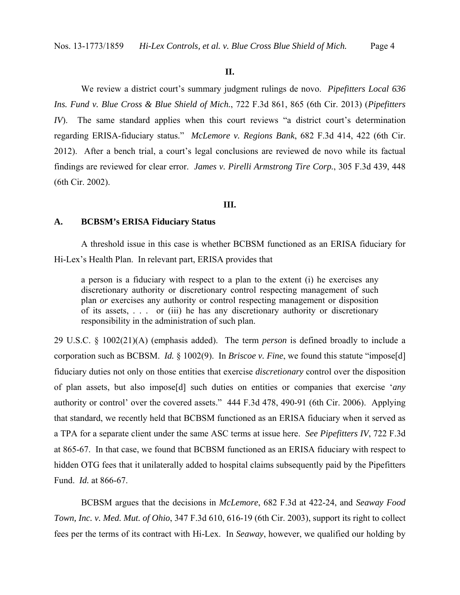#### **II.**

We review a district court's summary judgment rulings de novo. *Pipefitters Local 636 Ins. Fund v. Blue Cross & Blue Shield of Mich.*, 722 F.3d 861, 865 (6th Cir. 2013) (*Pipefitters IV*). The same standard applies when this court reviews "a district court's determination regarding ERISA-fiduciary status." *McLemore v. Regions Bank*, 682 F.3d 414, 422 (6th Cir. 2012). After a bench trial, a court's legal conclusions are reviewed de novo while its factual findings are reviewed for clear error. *James v. Pirelli Armstrong Tire Corp.*, 305 F.3d 439, 448 (6th Cir. 2002).

#### **III.**

#### **A. BCBSM's ERISA Fiduciary Status**

 A threshold issue in this case is whether BCBSM functioned as an ERISA fiduciary for Hi-Lex's Health Plan. In relevant part, ERISA provides that

a person is a fiduciary with respect to a plan to the extent (i) he exercises any discretionary authority or discretionary control respecting management of such plan *or* exercises any authority or control respecting management or disposition of its assets, . . . or (iii) he has any discretionary authority or discretionary responsibility in the administration of such plan.

29 U.S.C. § 1002(21)(A) (emphasis added). The term *person* is defined broadly to include a corporation such as BCBSM. *Id.* § 1002(9). In *Briscoe v. Fine*, we found this statute "impose[d] fiduciary duties not only on those entities that exercise *discretionary* control over the disposition of plan assets, but also impose[d] such duties on entities or companies that exercise '*any* authority or control' over the covered assets." 444 F.3d 478, 490-91 (6th Cir. 2006). Applying that standard, we recently held that BCBSM functioned as an ERISA fiduciary when it served as a TPA for a separate client under the same ASC terms at issue here. *See Pipefitters IV*, 722 F.3d at 865-67. In that case, we found that BCBSM functioned as an ERISA fiduciary with respect to hidden OTG fees that it unilaterally added to hospital claims subsequently paid by the Pipefitters Fund. *Id.* at 866-67.

BCBSM argues that the decisions in *McLemore*, 682 F.3d at 422-24, and *Seaway Food Town, Inc. v. Med. Mut. of Ohio*, 347 F.3d 610, 616-19 (6th Cir. 2003), support its right to collect fees per the terms of its contract with Hi-Lex. In *Seaway*, however, we qualified our holding by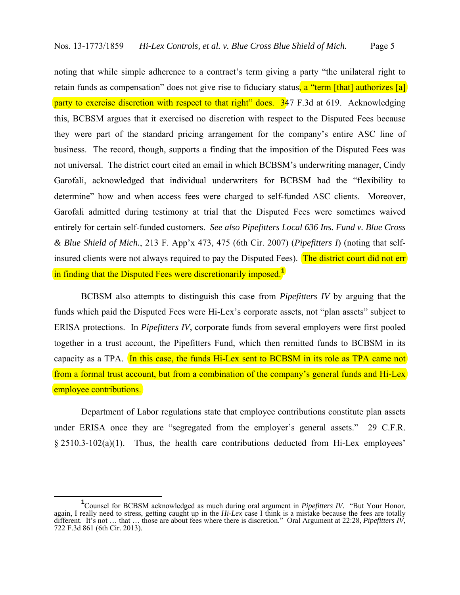noting that while simple adherence to a contract's term giving a party "the unilateral right to retain funds as compensation" does not give rise to fiduciary status, a "term [that] authorizes [a] party to exercise discretion with respect to that right" does. 347 F.3d at 619. Acknowledging this, BCBSM argues that it exercised no discretion with respect to the Disputed Fees because they were part of the standard pricing arrangement for the company's entire ASC line of business. The record, though, supports a finding that the imposition of the Disputed Fees was not universal. The district court cited an email in which BCBSM's underwriting manager, Cindy Garofali, acknowledged that individual underwriters for BCBSM had the "flexibility to determine" how and when access fees were charged to self-funded ASC clients. Moreover, Garofali admitted during testimony at trial that the Disputed Fees were sometimes waived entirely for certain self-funded customers. *See also Pipefitters Local 636 Ins. Fund v. Blue Cross & Blue Shield of Mich.*, 213 F. App'x 473, 475 (6th Cir. 2007) (*Pipefitters I*) (noting that selfinsured clients were not always required to pay the Disputed Fees). The district court did not err in finding that the Disputed Fees were discretionarily imposed.**<sup>1</sup>**

BCBSM also attempts to distinguish this case from *Pipefitters IV* by arguing that the funds which paid the Disputed Fees were Hi-Lex's corporate assets, not "plan assets" subject to ERISA protections. In *Pipefitters IV*, corporate funds from several employers were first pooled together in a trust account, the Pipefitters Fund, which then remitted funds to BCBSM in its capacity as a TPA. In this case, the funds Hi-Lex sent to BCBSM in its role as TPA came not from a formal trust account, but from a combination of the company's general funds and Hi-Lex employee contributions.

Department of Labor regulations state that employee contributions constitute plan assets under ERISA once they are "segregated from the employer's general assets." 29 C.F.R. § 2510.3-102(a)(1). Thus, the health care contributions deducted from Hi-Lex employees'

**<sup>1</sup>** Counsel for BCBSM acknowledged as much during oral argument in *Pipefitters IV*. "But Your Honor, again, I really need to stress, getting caught up in the *Hi-Lex* case I think is a mistake because the fees are totally different. It's not … that … those are about fees where there is discretion." Oral Argument at 22:28, *Pipefitters IV*, 722 F.3d 861 (6th Cir. 2013).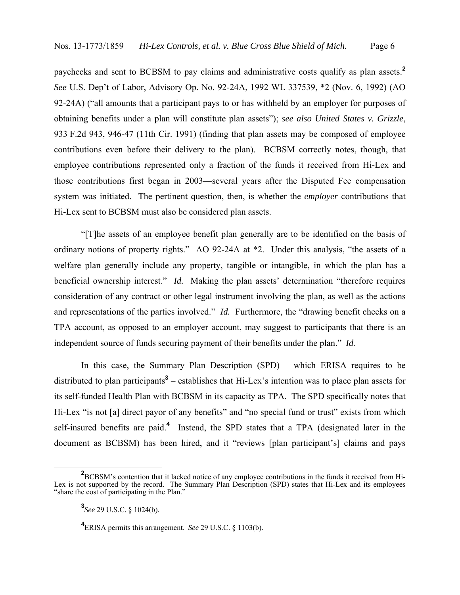paychecks and sent to BCBSM to pay claims and administrative costs qualify as plan assets.**<sup>2</sup>** *See* U.S. Dep't of Labor, Advisory Op. No. 92-24A, 1992 WL 337539, \*2 (Nov. 6, 1992) (AO 92-24A) ("all amounts that a participant pays to or has withheld by an employer for purposes of obtaining benefits under a plan will constitute plan assets"); *see also United States v. Grizzle*, 933 F.2d 943, 946-47 (11th Cir. 1991) (finding that plan assets may be composed of employee contributions even before their delivery to the plan). BCBSM correctly notes, though, that employee contributions represented only a fraction of the funds it received from Hi-Lex and those contributions first began in 2003—several years after the Disputed Fee compensation system was initiated. The pertinent question, then, is whether the *employer* contributions that Hi-Lex sent to BCBSM must also be considered plan assets.

"[T]he assets of an employee benefit plan generally are to be identified on the basis of ordinary notions of property rights." AO 92-24A at \*2. Under this analysis, "the assets of a welfare plan generally include any property, tangible or intangible, in which the plan has a beneficial ownership interest." *Id.* Making the plan assets' determination "therefore requires consideration of any contract or other legal instrument involving the plan, as well as the actions and representations of the parties involved." *Id.* Furthermore, the "drawing benefit checks on a TPA account, as opposed to an employer account, may suggest to participants that there is an independent source of funds securing payment of their benefits under the plan." *Id.*

In this case, the Summary Plan Description (SPD) – which ERISA requires to be distributed to plan participants**<sup>3</sup>** – establishes that Hi-Lex's intention was to place plan assets for its self-funded Health Plan with BCBSM in its capacity as TPA. The SPD specifically notes that Hi-Lex "is not [a] direct payor of any benefits" and "no special fund or trust" exists from which self-insured benefits are paid.**<sup>4</sup>** Instead, the SPD states that a TPA (designated later in the document as BCBSM) has been hired, and it "reviews [plan participant's] claims and pays

<sup>&</sup>lt;sup>2</sup> BCBSM's contention that it lacked notice of any employee contributions in the funds it received from Hi-Lex is not supported by the record. The Summary Plan Description (SPD) states that Hi-Lex and its employees "share the cost of participating in the Plan."

**<sup>3</sup>** *See* 29 U.S.C. § 1024(b).

**<sup>4</sup>** ERISA permits this arrangement. *See* 29 U.S.C. § 1103(b).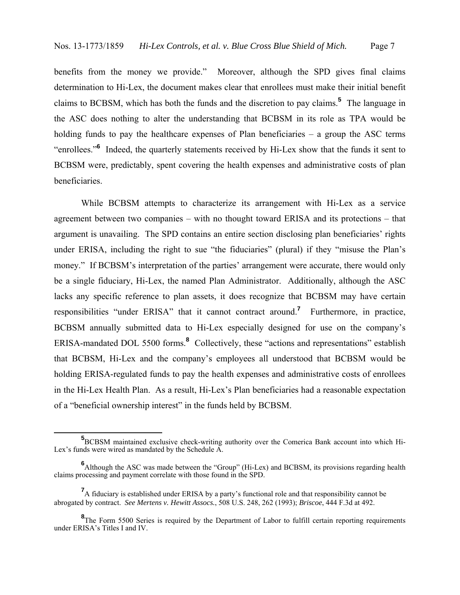benefits from the money we provide." Moreover, although the SPD gives final claims determination to Hi-Lex, the document makes clear that enrollees must make their initial benefit claims to BCBSM, which has both the funds and the discretion to pay claims.**<sup>5</sup>** The language in the ASC does nothing to alter the understanding that BCBSM in its role as TPA would be holding funds to pay the healthcare expenses of Plan beneficiaries – a group the ASC terms "enrollees."<sup>6</sup> Indeed, the quarterly statements received by Hi-Lex show that the funds it sent to BCBSM were, predictably, spent covering the health expenses and administrative costs of plan beneficiaries.

While BCBSM attempts to characterize its arrangement with Hi-Lex as a service agreement between two companies – with no thought toward ERISA and its protections – that argument is unavailing. The SPD contains an entire section disclosing plan beneficiaries' rights under ERISA, including the right to sue "the fiduciaries" (plural) if they "misuse the Plan's money." If BCBSM's interpretation of the parties' arrangement were accurate, there would only be a single fiduciary, Hi-Lex, the named Plan Administrator. Additionally, although the ASC lacks any specific reference to plan assets, it does recognize that BCBSM may have certain responsibilities "under ERISA" that it cannot contract around.**<sup>7</sup>** Furthermore, in practice, BCBSM annually submitted data to Hi-Lex especially designed for use on the company's ERISA-mandated DOL 5500 forms.**<sup>8</sup>** Collectively, these "actions and representations" establish that BCBSM, Hi-Lex and the company's employees all understood that BCBSM would be holding ERISA-regulated funds to pay the health expenses and administrative costs of enrollees in the Hi-Lex Health Plan. As a result, Hi-Lex's Plan beneficiaries had a reasonable expectation of a "beneficial ownership interest" in the funds held by BCBSM.

**<sup>5</sup>**<br>**5** BCBSM maintained exclusive check-writing authority over the Comerica Bank account into which Hi-Lex's funds were wired as mandated by the Schedule A.

**<sup>6</sup>** Although the ASC was made between the "Group" (Hi-Lex) and BCBSM, its provisions regarding health claims processing and payment correlate with those found in the SPD.

<sup>&</sup>lt;sup>7</sup>A fiduciary is established under ERISA by a party's functional role and that responsibility cannot be abrogated by contract. *See Mertens v. Hewitt Assocs.*, 508 U.S. 248, 262 (1993); *Briscoe*, 444 F.3d at 492.

<sup>&</sup>lt;sup>8</sup>The Form 5500 Series is required by the Department of Labor to fulfill certain reporting requirements under ERISA's Titles I and IV.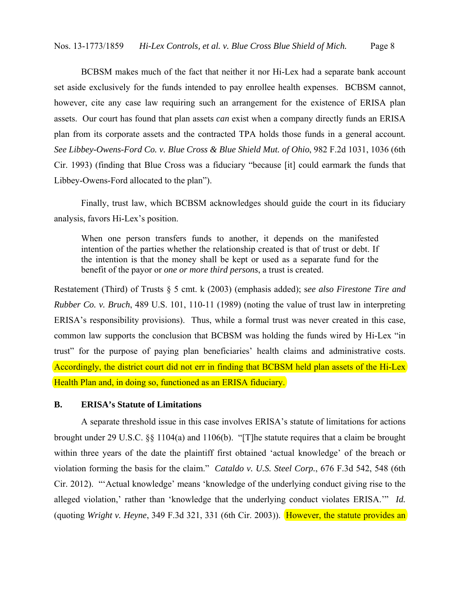BCBSM makes much of the fact that neither it nor Hi-Lex had a separate bank account set aside exclusively for the funds intended to pay enrollee health expenses. BCBSM cannot, however, cite any case law requiring such an arrangement for the existence of ERISA plan assets. Our court has found that plan assets *can* exist when a company directly funds an ERISA plan from its corporate assets and the contracted TPA holds those funds in a general account*. See Libbey-Owens-Ford Co. v. Blue Cross & Blue Shield Mut. of Ohio*, 982 F.2d 1031, 1036 (6th Cir. 1993) (finding that Blue Cross was a fiduciary "because [it] could earmark the funds that Libbey-Owens-Ford allocated to the plan").

Finally, trust law, which BCBSM acknowledges should guide the court in its fiduciary analysis, favors Hi-Lex's position.

When one person transfers funds to another, it depends on the manifested intention of the parties whether the relationship created is that of trust or debt. If the intention is that the money shall be kept or used as a separate fund for the benefit of the payor or *one or more third persons*, a trust is created.

Restatement (Third) of Trusts § 5 cmt. k (2003) (emphasis added); s*ee also Firestone Tire and Rubber Co. v. Bruch*, 489 U.S. 101, 110-11 (1989) (noting the value of trust law in interpreting ERISA's responsibility provisions). Thus, while a formal trust was never created in this case, common law supports the conclusion that BCBSM was holding the funds wired by Hi-Lex "in trust" for the purpose of paying plan beneficiaries' health claims and administrative costs. Accordingly, the district court did not err in finding that BCBSM held plan assets of the Hi-Lex Health Plan and, in doing so, functioned as an ERISA fiduciary.

# **B. ERISA's Statute of Limitations**

 A separate threshold issue in this case involves ERISA's statute of limitations for actions brought under 29 U.S.C. §§ 1104(a) and 1106(b). "[T]he statute requires that a claim be brought within three years of the date the plaintiff first obtained 'actual knowledge' of the breach or violation forming the basis for the claim." *Cataldo v. U.S. Steel Corp.*, 676 F.3d 542, 548 (6th Cir. 2012). "'Actual knowledge' means 'knowledge of the underlying conduct giving rise to the alleged violation,' rather than 'knowledge that the underlying conduct violates ERISA.'" *Id.* (quoting *Wright v. Heyne*, 349 F.3d 321, 331 (6th Cir. 2003)). However, the statute provides an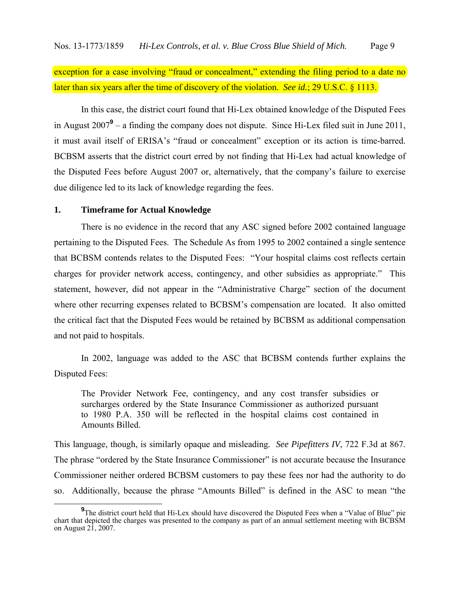exception for a case involving "fraud or concealment," extending the filing period to a date no later than six years after the time of discovery of the violation. *See id.*; 29 U.S.C. § 1113.

In this case, the district court found that Hi-Lex obtained knowledge of the Disputed Fees in August 2007**<sup>9</sup>** – a finding the company does not dispute. Since Hi-Lex filed suit in June 2011, it must avail itself of ERISA's "fraud or concealment" exception or its action is time-barred. BCBSM asserts that the district court erred by not finding that Hi-Lex had actual knowledge of the Disputed Fees before August 2007 or, alternatively, that the company's failure to exercise due diligence led to its lack of knowledge regarding the fees.

### **1. Timeframe for Actual Knowledge**

There is no evidence in the record that any ASC signed before 2002 contained language pertaining to the Disputed Fees. The Schedule As from 1995 to 2002 contained a single sentence that BCBSM contends relates to the Disputed Fees: "Your hospital claims cost reflects certain charges for provider network access, contingency, and other subsidies as appropriate." This statement, however, did not appear in the "Administrative Charge" section of the document where other recurring expenses related to BCBSM's compensation are located. It also omitted the critical fact that the Disputed Fees would be retained by BCBSM as additional compensation and not paid to hospitals.

In 2002, language was added to the ASC that BCBSM contends further explains the Disputed Fees:

The Provider Network Fee, contingency, and any cost transfer subsidies or surcharges ordered by the State Insurance Commissioner as authorized pursuant to 1980 P.A. 350 will be reflected in the hospital claims cost contained in Amounts Billed.

This language, though, is similarly opaque and misleading*. See Pipefitters IV*, 722 F.3d at 867. The phrase "ordered by the State Insurance Commissioner" is not accurate because the Insurance Commissioner neither ordered BCBSM customers to pay these fees nor had the authority to do so. Additionally, because the phrase "Amounts Billed" is defined in the ASC to mean "the

**<sup>9</sup>** <sup>9</sup>The district court held that Hi-Lex should have discovered the Disputed Fees when a "Value of Blue" pie chart that depicted the charges was presented to the company as part of an annual settlement meeting with BCBSM on August 21, 2007.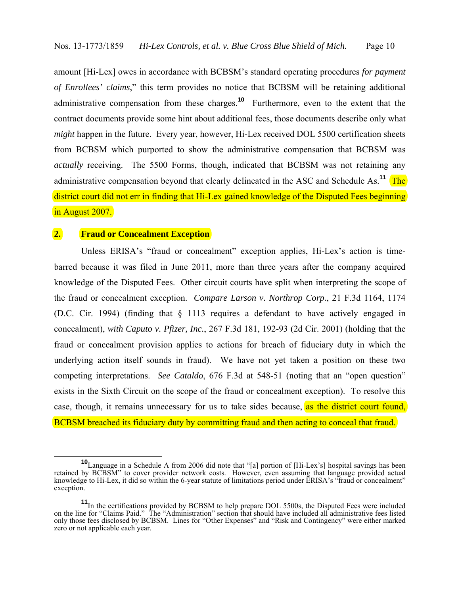amount [Hi-Lex] owes in accordance with BCBSM's standard operating procedures *for payment of Enrollees' claims*," this term provides no notice that BCBSM will be retaining additional administrative compensation from these charges.**<sup>10</sup>** Furthermore, even to the extent that the contract documents provide some hint about additional fees, those documents describe only what *might* happen in the future. Every year, however, Hi-Lex received DOL 5500 certification sheets from BCBSM which purported to show the administrative compensation that BCBSM was *actually* receiving. The 5500 Forms, though, indicated that BCBSM was not retaining any administrative compensation beyond that clearly delineated in the ASC and Schedule As.**<sup>11</sup>** The district court did not err in finding that Hi-Lex gained knowledge of the Disputed Fees beginning in August 2007.

# **2. Fraud or Concealment Exception**

 Unless ERISA's "fraud or concealment" exception applies, Hi-Lex's action is timebarred because it was filed in June 2011, more than three years after the company acquired knowledge of the Disputed Fees. Other circuit courts have split when interpreting the scope of the fraud or concealment exception. *Compare Larson v. Northrop Corp.*, 21 F.3d 1164, 1174 (D.C. Cir. 1994) (finding that § 1113 requires a defendant to have actively engaged in concealment), *with Caputo v. Pfizer, Inc.*, 267 F.3d 181, 192-93 (2d Cir. 2001) (holding that the fraud or concealment provision applies to actions for breach of fiduciary duty in which the underlying action itself sounds in fraud). We have not yet taken a position on these two competing interpretations. *See Cataldo*, 676 F.3d at 548-51 (noting that an "open question" exists in the Sixth Circuit on the scope of the fraud or concealment exception). To resolve this case, though, it remains unnecessary for us to take sides because, as the district court found, BCBSM breached its fiduciary duty by committing fraud and then acting to conceal that fraud.

**<sup>10</sup>**Language in a Schedule A from 2006 did note that "[a] portion of [Hi-Lex's] hospital savings has been retained by BCBSM" to cover provider network costs. However, even assuming that language provided actual knowledge to Hi-Lex, it did so within the 6-year statute of limitations period under ERISA's "fraud or concealment" exception.

**<sup>11</sup>**In the certifications provided by BCBSM to help prepare DOL 5500s, the Disputed Fees were included on the line for "Claims Paid." The "Administration" section that should have included all administrative fees listed only those fees disclosed by BCBSM. Lines for "Other Expenses" and "Risk and Contingency" were either marked zero or not applicable each year.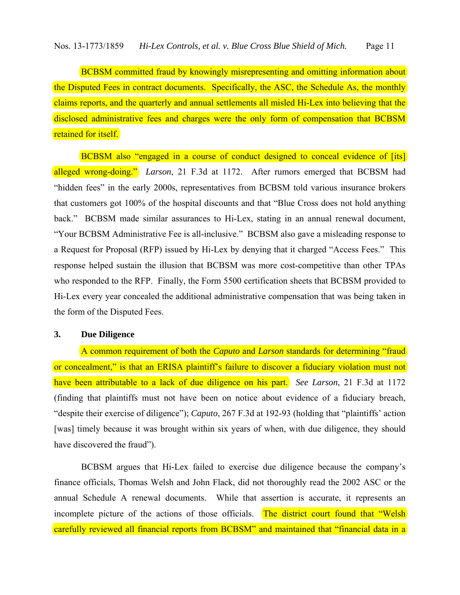BCBSM committed fraud by knowingly misrepresenting and omitting information about the Disputed Fees in contract documents. Specifically, the ASC, the Schedule As, the monthly claims reports, and the quarterly and annual settlements all misled Hi-Lex into believing that the disclosed administrative fees and charges were the only form of compensation that BCBSM retained for itself.

 BCBSM also "engaged in a course of conduct designed to conceal evidence of [its] alleged wrong-doing." *Larson*, 21 F.3d at 1172. After rumors emerged that BCBSM had "hidden fees" in the early 2000s, representatives from BCBSM told various insurance brokers that customers got 100% of the hospital discounts and that "Blue Cross does not hold anything back." BCBSM made similar assurances to Hi-Lex, stating in an annual renewal document, "Your BCBSM Administrative Fee is all-inclusive." BCBSM also gave a misleading response to a Request for Proposal (RFP) issued by Hi-Lex by denying that it charged "Access Fees." This response helped sustain the illusion that BCBSM was more cost-competitive than other TPAs who responded to the RFP. Finally, the Form 5500 certification sheets that BCBSM provided to Hi-Lex every year concealed the additional administrative compensation that was being taken in the form of the Disputed Fees.

## **3. Due Diligence**

 A common requirement of both the *Caputo* and *Larson* standards for determining "fraud or concealment," is that an ERISA plaintiff's failure to discover a fiduciary violation must not have been attributable to a lack of due diligence on his part. *See Larson*, 21 F.3d at 1172 (finding that plaintiffs must not have been on notice about evidence of a fiduciary breach, "despite their exercise of diligence"); *Caputo*, 267 F.3d at 192-93 (holding that "plaintiffs' action [was] timely because it was brought within six years of when, with due diligence, they should have discovered the fraud").

 BCBSM argues that Hi-Lex failed to exercise due diligence because the company's finance officials, Thomas Welsh and John Flack, did not thoroughly read the 2002 ASC or the annual Schedule A renewal documents. While that assertion is accurate, it represents an incomplete picture of the actions of those officials. The district court found that "Welsh carefully reviewed all financial reports from BCBSM" and maintained that "financial data in a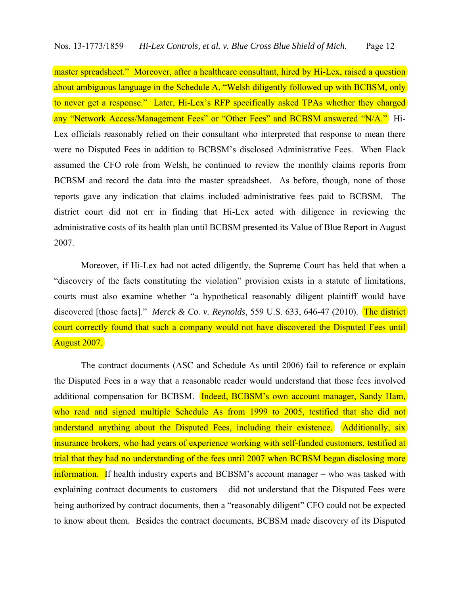master spreadsheet." Moreover, after a healthcare consultant, hired by Hi-Lex, raised a question about ambiguous language in the Schedule A, "Welsh diligently followed up with BCBSM, only to never get a response." Later, Hi-Lex's RFP specifically asked TPAs whether they charged any "Network Access/Management Fees" or "Other Fees" and BCBSM answered "N/A." Hi-Lex officials reasonably relied on their consultant who interpreted that response to mean there were no Disputed Fees in addition to BCBSM's disclosed Administrative Fees. When Flack assumed the CFO role from Welsh, he continued to review the monthly claims reports from BCBSM and record the data into the master spreadsheet. As before, though, none of those reports gave any indication that claims included administrative fees paid to BCBSM. The district court did not err in finding that Hi-Lex acted with diligence in reviewing the administrative costs of its health plan until BCBSM presented its Value of Blue Report in August 2007.

 Moreover, if Hi-Lex had not acted diligently, the Supreme Court has held that when a "discovery of the facts constituting the violation" provision exists in a statute of limitations, courts must also examine whether "a hypothetical reasonably diligent plaintiff would have discovered [those facts]." *Merck & Co. v. Reynolds*, 559 U.S. 633, 646-47 (2010). The district court correctly found that such a company would not have discovered the Disputed Fees until August 2007.

The contract documents (ASC and Schedule As until 2006) fail to reference or explain the Disputed Fees in a way that a reasonable reader would understand that those fees involved additional compensation for BCBSM. Indeed, BCBSM's own account manager, Sandy Ham, who read and signed multiple Schedule As from 1999 to 2005, testified that she did not understand anything about the Disputed Fees, including their existence. Additionally, six insurance brokers, who had years of experience working with self-funded customers, testified at trial that they had no understanding of the fees until 2007 when BCBSM began disclosing more information. If health industry experts and BCBSM's account manager – who was tasked with explaining contract documents to customers – did not understand that the Disputed Fees were being authorized by contract documents, then a "reasonably diligent" CFO could not be expected to know about them. Besides the contract documents, BCBSM made discovery of its Disputed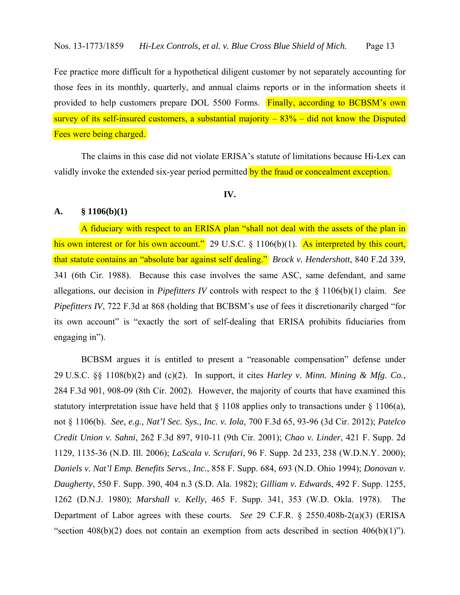Fee practice more difficult for a hypothetical diligent customer by not separately accounting for those fees in its monthly, quarterly, and annual claims reports or in the information sheets it provided to help customers prepare DOL 5500 Forms. Finally, according to BCBSM's own survey of its self-insured customers, a substantial majority  $-83%$  – did not know the Disputed Fees were being charged.

 The claims in this case did not violate ERISA's statute of limitations because Hi-Lex can validly invoke the extended six-year period permitted by the fraud or concealment exception.

# **IV.**

# **A. § 1106(b)(1)**

 A fiduciary with respect to an ERISA plan "shall not deal with the assets of the plan in his own interest or for his own account." 29 U.S.C. § 1106(b)(1). As interpreted by this court, that statute contains an "absolute bar against self dealing." *Brock v. Hendershott*, 840 F.2d 339, 341 (6th Cir. 1988). Because this case involves the same ASC, same defendant, and same allegations, our decision in *Pipefitters IV* controls with respect to the § 1106(b)(1) claim. *See Pipefitters IV*, 722 F.3d at 868 (holding that BCBSM's use of fees it discretionarily charged "for its own account" is "exactly the sort of self-dealing that ERISA prohibits fiduciaries from engaging in").

 BCBSM argues it is entitled to present a "reasonable compensation" defense under 29 U.S.C. §§ 1108(b)(2) and (c)(2). In support, it cites *Harley v. Minn. Mining & Mfg. Co.*, 284 F.3d 901, 908-09 (8th Cir. 2002). However, the majority of courts that have examined this statutory interpretation issue have held that  $\S 1108$  applies only to transactions under  $\S 1106(a)$ , not § 1106(b). *See, e.g., Nat'l Sec. Sys., Inc. v. Iola*, 700 F.3d 65, 93-96 (3d Cir. 2012); *Patelco Credit Union v. Sahni*, 262 F.3d 897, 910-11 (9th Cir. 2001); *Chao v. Linder*, 421 F. Supp. 2d 1129, 1135-36 (N.D. Ill. 2006); *LaScala v. Scrufari*, 96 F. Supp. 2d 233, 238 (W.D.N.Y. 2000); *Daniels v. Nat'l Emp. Benefits Servs., Inc.*, 858 F. Supp. 684, 693 (N.D. Ohio 1994); *Donovan v. Daugherty*, 550 F. Supp. 390, 404 n.3 (S.D. Ala. 1982); *Gilliam v. Edwards*, 492 F. Supp. 1255, 1262 (D.N.J. 1980); *Marshall v. Kelly*, 465 F. Supp. 341, 353 (W.D. Okla. 1978). The Department of Labor agrees with these courts. *See* 29 C.F.R. § 2550.408b-2(a)(3) (ERISA "section  $408(b)(2)$  does not contain an exemption from acts described in section  $406(b)(1)$ ").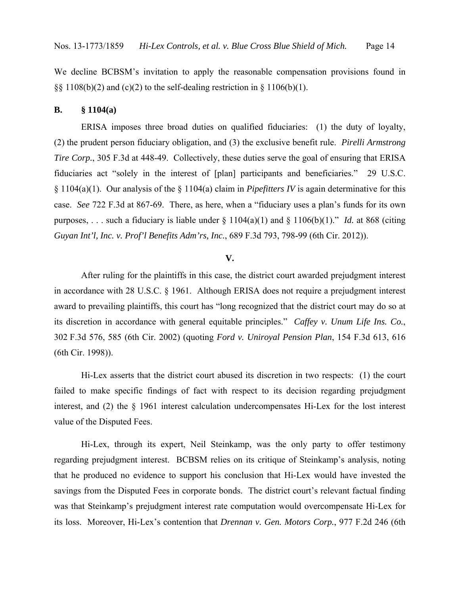We decline BCBSM's invitation to apply the reasonable compensation provisions found in  $\S$ § 1108(b)(2) and (c)(2) to the self-dealing restriction in § 1106(b)(1).

## **B. § 1104(a)**

 ERISA imposes three broad duties on qualified fiduciaries: (1) the duty of loyalty, (2) the prudent person fiduciary obligation, and (3) the exclusive benefit rule. *Pirelli Armstrong Tire Corp.*, 305 F.3d at 448-49. Collectively, these duties serve the goal of ensuring that ERISA fiduciaries act "solely in the interest of [plan] participants and beneficiaries." 29 U.S.C. § 1104(a)(1). Our analysis of the § 1104(a) claim in *Pipefitters IV* is again determinative for this case. *See* 722 F.3d at 867-69. There, as here, when a "fiduciary uses a plan's funds for its own purposes, . . . such a fiduciary is liable under  $\S$  1104(a)(1) and  $\S$  1106(b)(1)." *Id.* at 868 (citing *Guyan Int'l, Inc. v. Prof'l Benefits Adm'rs, Inc.*, 689 F.3d 793, 798-99 (6th Cir. 2012)).

### **V.**

After ruling for the plaintiffs in this case, the district court awarded prejudgment interest in accordance with 28 U.S.C. § 1961. Although ERISA does not require a prejudgment interest award to prevailing plaintiffs, this court has "long recognized that the district court may do so at its discretion in accordance with general equitable principles." *Caffey v. Unum Life Ins. Co.*, 302 F.3d 576, 585 (6th Cir. 2002) (quoting *Ford v. Uniroyal Pension Plan*, 154 F.3d 613, 616 (6th Cir. 1998)).

Hi-Lex asserts that the district court abused its discretion in two respects: (1) the court failed to make specific findings of fact with respect to its decision regarding prejudgment interest, and (2) the § 1961 interest calculation undercompensates Hi-Lex for the lost interest value of the Disputed Fees.

Hi-Lex, through its expert, Neil Steinkamp, was the only party to offer testimony regarding prejudgment interest. BCBSM relies on its critique of Steinkamp's analysis, noting that he produced no evidence to support his conclusion that Hi-Lex would have invested the savings from the Disputed Fees in corporate bonds. The district court's relevant factual finding was that Steinkamp's prejudgment interest rate computation would overcompensate Hi-Lex for its loss. Moreover, Hi-Lex's contention that *Drennan v. Gen. Motors Corp.*, 977 F.2d 246 (6th